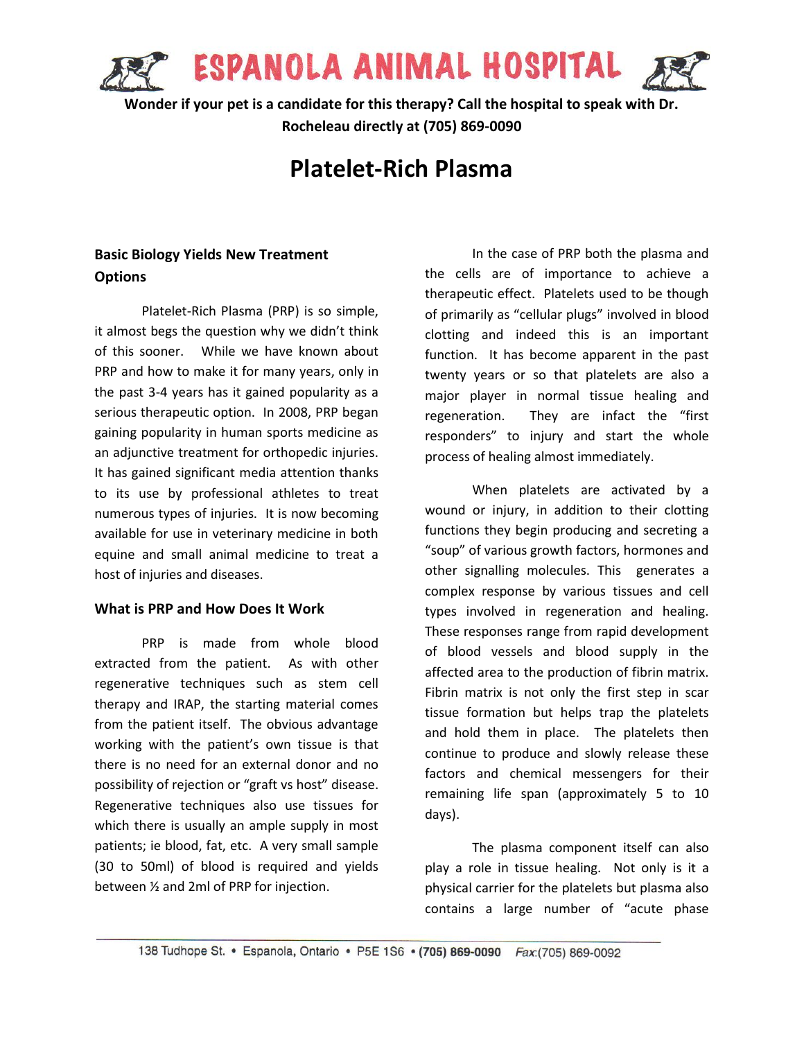

**Wonder if your pet is a candidate for this therapy? Call the hospital to speak with Dr. Rocheleau directly at (705) 869-0090**

# **Platelet-Rich Plasma**

## **Basic Biology Yields New Treatment Options**

Platelet-Rich Plasma (PRP) is so simple, it almost begs the question why we didn't think of this sooner. While we have known about PRP and how to make it for many years, only in the past 3-4 years has it gained popularity as a serious therapeutic option. In 2008, PRP began gaining popularity in human sports medicine as an adjunctive treatment for orthopedic injuries. It has gained significant media attention thanks to its use by professional athletes to treat numerous types of injuries. It is now becoming available for use in veterinary medicine in both equine and small animal medicine to treat a host of injuries and diseases.

#### **What is PRP and How Does It Work**

PRP is made from whole blood extracted from the patient. As with other regenerative techniques such as stem cell therapy and IRAP, the starting material comes from the patient itself. The obvious advantage working with the patient's own tissue is that there is no need for an external donor and no possibility of rejection or "graft vs host" disease. Regenerative techniques also use tissues for which there is usually an ample supply in most patients; ie blood, fat, etc. A very small sample (30 to 50ml) of blood is required and yields between ½ and 2ml of PRP for injection.

In the case of PRP both the plasma and the cells are of importance to achieve a therapeutic effect. Platelets used to be though of primarily as "cellular plugs" involved in blood clotting and indeed this is an important function. It has become apparent in the past twenty years or so that platelets are also a major player in normal tissue healing and regeneration. They are infact the "first responders" to injury and start the whole process of healing almost immediately.

When platelets are activated by a wound or injury, in addition to their clotting functions they begin producing and secreting a "soup" of various growth factors, hormones and other signalling molecules. This generates a complex response by various tissues and cell types involved in regeneration and healing. These responses range from rapid development of blood vessels and blood supply in the affected area to the production of fibrin matrix. Fibrin matrix is not only the first step in scar tissue formation but helps trap the platelets and hold them in place. The platelets then continue to produce and slowly release these factors and chemical messengers for their remaining life span (approximately 5 to 10 days).

The plasma component itself can also play a role in tissue healing. Not only is it a physical carrier for the platelets but plasma also contains a large number of "acute phase